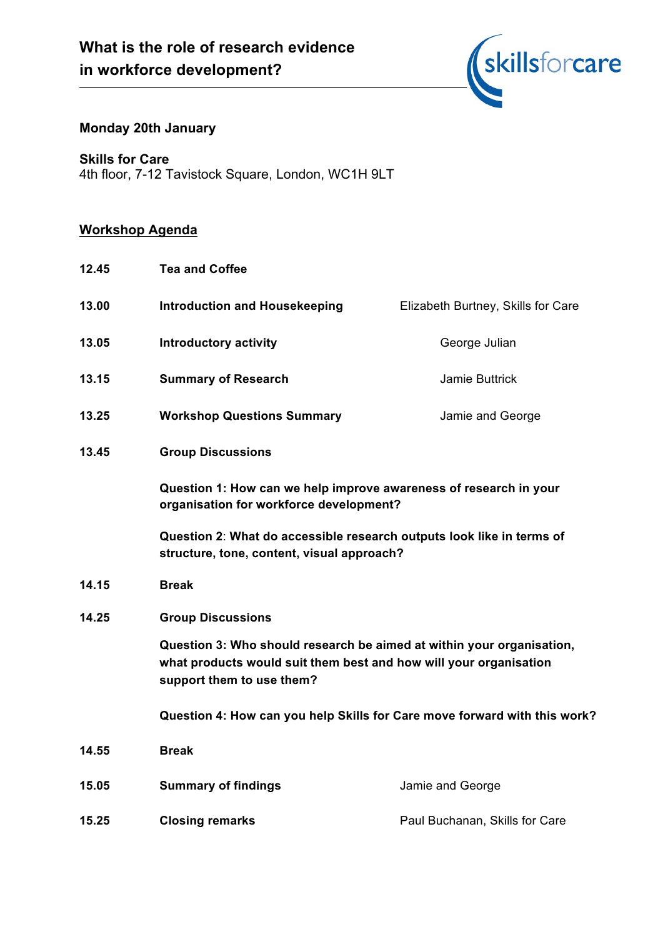

# **Monday 20th January**

**Skills for Care**

4th floor, 7-12 Tavistock Square, London, WC1H 9LT

# **Workshop Agenda**

| 12.45 | <b>Tea and Coffee</b>                                                                                                                                                   |                                                                                                                     |  |  |
|-------|-------------------------------------------------------------------------------------------------------------------------------------------------------------------------|---------------------------------------------------------------------------------------------------------------------|--|--|
| 13.00 | <b>Introduction and Housekeeping</b>                                                                                                                                    | Elizabeth Burtney, Skills for Care                                                                                  |  |  |
| 13.05 | <b>Introductory activity</b>                                                                                                                                            | George Julian                                                                                                       |  |  |
| 13.15 | <b>Summary of Research</b>                                                                                                                                              | Jamie Buttrick                                                                                                      |  |  |
| 13.25 | <b>Workshop Questions Summary</b>                                                                                                                                       | Jamie and George                                                                                                    |  |  |
| 13.45 | <b>Group Discussions</b>                                                                                                                                                |                                                                                                                     |  |  |
|       | Question 1: How can we help improve awareness of research in your<br>organisation for workforce development?                                                            |                                                                                                                     |  |  |
|       |                                                                                                                                                                         | Question 2: What do accessible research outputs look like in terms of<br>structure, tone, content, visual approach? |  |  |
| 14.15 | <b>Break</b>                                                                                                                                                            |                                                                                                                     |  |  |
| 14.25 | <b>Group Discussions</b>                                                                                                                                                |                                                                                                                     |  |  |
|       | Question 3: Who should research be aimed at within your organisation,<br>what products would suit them best and how will your organisation<br>support them to use them? |                                                                                                                     |  |  |
|       | Question 4: How can you help Skills for Care move forward with this work?                                                                                               |                                                                                                                     |  |  |
| 14.55 | <b>Break</b>                                                                                                                                                            |                                                                                                                     |  |  |
| 15.05 | <b>Summary of findings</b>                                                                                                                                              | Jamie and George                                                                                                    |  |  |
| 15.25 | <b>Closing remarks</b>                                                                                                                                                  | Paul Buchanan, Skills for Care                                                                                      |  |  |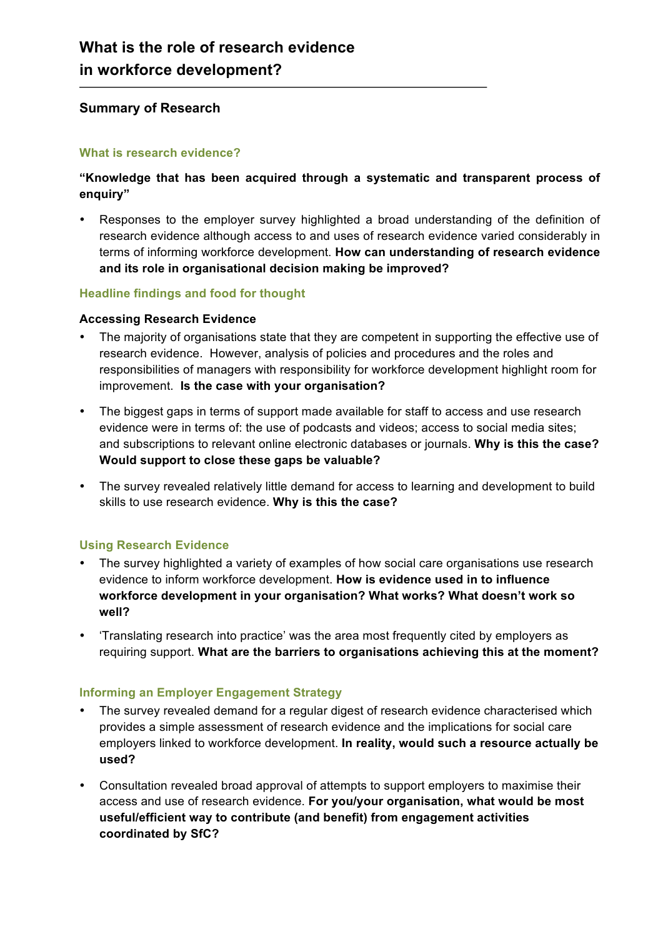## **Summary of Research**

#### **What is research evidence?**

## **"Knowledge that has been acquired through a systematic and transparent process of enquiry"**

• Responses to the employer survey highlighted a broad understanding of the definition of research evidence although access to and uses of research evidence varied considerably in terms of informing workforce development. **How can understanding of research evidence and its role in organisational decision making be improved?**

### **Headline findings and food for thought**

#### **Accessing Research Evidence**

- The majority of organisations state that they are competent in supporting the effective use of research evidence. However, analysis of policies and procedures and the roles and responsibilities of managers with responsibility for workforce development highlight room for improvement. **Is the case with your organisation?**
- The biggest gaps in terms of support made available for staff to access and use research evidence were in terms of: the use of podcasts and videos; access to social media sites; and subscriptions to relevant online electronic databases or journals. **Why is this the case? Would support to close these gaps be valuable?**
- The survey revealed relatively little demand for access to learning and development to build skills to use research evidence. **Why is this the case?**

### **Using Research Evidence**

- The survey highlighted a variety of examples of how social care organisations use research evidence to inform workforce development. **How is evidence used in to influence workforce development in your organisation? What works? What doesn't work so well?**
- 'Translating research into practice' was the area most frequently cited by employers as requiring support. **What are the barriers to organisations achieving this at the moment?**

### **Informing an Employer Engagement Strategy**

- The survey revealed demand for a regular digest of research evidence characterised which provides a simple assessment of research evidence and the implications for social care employers linked to workforce development. **In reality, would such a resource actually be used?**
- Consultation revealed broad approval of attempts to support employers to maximise their access and use of research evidence. **For you/your organisation, what would be most useful/efficient way to contribute (and benefit) from engagement activities coordinated by SfC?**